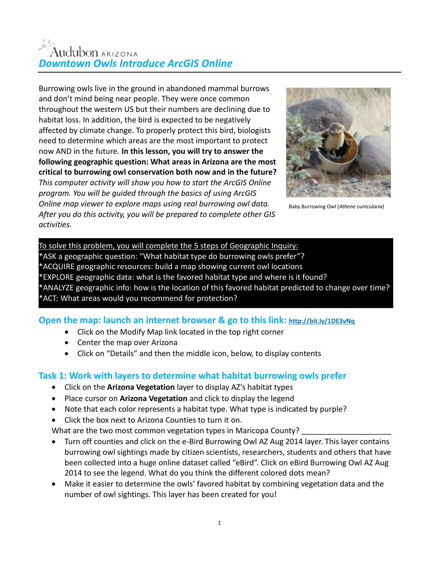# Audubon ARIZONA *Downtown Owls Introduce ArcGIS Online*

Burrowing owls live in the ground in abandoned mammal burrows and don't mind being near people. They were once common throughout the western US but their numbers are declining due to habitat loss. In addition, the bird is expected to be negatively affected by climate change. To properly protect this bird, biologists need to determine which areas are the most important to protect now AND in the future. **In this lesson, you will try to answer the following geographic question: What areas in Arizona are the most critical to burrowing owl conservation both now and in the future?**  *This computer activity will show you how to start the ArcGIS Online program. You will be guided through the basics of using ArcGIS Online map viewer to explore maps using real burrowing owl data. After you do this activity, you will be prepared to complete other GIS activities.*



Baby Burrowing Owl (*Athene cunicularia*)

To solve this problem, you will complete the 5 steps of Geographic Inquiry: \*ASK a geographic question: "What habitat type do burrowing owls prefer"? \*ACQUIRE geographic resources: build a map showing current owl locations \*EXPLORE geographic data: what is the favored habitat type and where is it found? ANALYZE geographic info: how is the location of this favored habitat predicted to change over time? \*ACT: What areas would you recommend for protection?

### **Open the map: launch an internet browser & go to this link: <http://bit.ly/1DE3vNq>**

- Click on the Modify Map link located in the top right corner
- Center the map over Arizona
- Click on "Details" and then the middle icon, below, to display contents

#### **Task 1: Work with layers to determine what habitat burrowing owls prefer**

- Click on the **Arizona Vegetation** layer to display AZ's habitat types
- Place cursor on **Arizona Vegetation** and click to display the legend
- Note that each color represents a habitat type. What type is indicated by purple?
- Click the box next to Arizona Counties to turn it on.

What are the two most common vegetation types in Maricopa County?

- Turn off counties and click on the e-Bird Burrowing Owl AZ Aug 2014 layer. This layer contains burrowing owl sightings made by citizen scientists, researchers, students and others that have been collected into a huge online dataset called "eBird". Click on eBird Burrowing Owl AZ Aug 2014 to see the legend. What do you think the different colored dots mean?
- Make it easier to determine the owls' favored habitat by combining vegetation data and the number of owl sightings. This layer has been created for you!